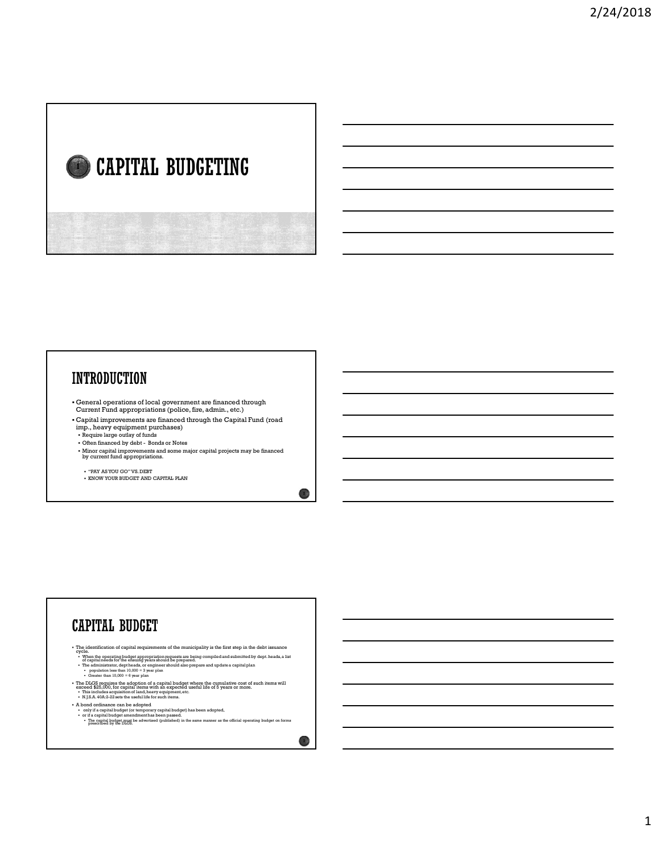# CAPITAL BUDGETING  $\blacksquare$   $\blacksquare$   $\blacksquare$   $\blacksquare$   $\blacksquare$   $\blacksquare$   $\blacksquare$   $\blacksquare$   $\blacksquare$   $\blacksquare$   $\blacksquare$   $\blacksquare$   $\blacksquare$   $\blacksquare$   $\blacksquare$   $\blacksquare$   $\blacksquare$   $\blacksquare$   $\blacksquare$   $\blacksquare$   $\blacksquare$   $\blacksquare$   $\blacksquare$   $\blacksquare$   $\blacksquare$   $\blacksquare$   $\blacksquare$   $\blacksquare$   $\blacksquare$   $\blacksquare$   $\blacksquare$   $\blacks$

- General operations of local government are financed through Current Fund appropriations (police, fire, admin., etc.)
- Capital improvements are financed through the Capital Fund (road imp., heavy equipment purchases)<br>• Require large outlay of funds
- 
- Minor capital improvements and some major capital projects may be financed by current fund appropriations.

2

- $\bullet$  "PAY AS YOU GO" VS. DEBT
- KNOW YOUR BUDGET AND CAPITAL PLAN

# • The identification of capital requirements of the municipality is the first step in the debt issuance<br>• When the operating budget appropriation requests are being compiled and submitted by dept. heads, a list<br>• of capita The administrator of the administrator, dependent of the administrator of the administrator of the administrator of the administrator of the administrator of the administrator of the administrator of the administrator of = population less than 10,000 = 3 year plan<br>• Greater than 10,000 = 6 year plan • The DLGS requires the adoption of a capital budget where the cumulative cost of such items will exceed \$25,000, for capital items with an expected useful life of 5 years or more.<br>• This includes acquisition of land, hea • A bond ordinance can be adopted<br>• only if a capital budget (or temporary capital budget) has been adopted,<br>• or if a capital budget amendment has been passed.<br>• The capital budget must be advertised (published) in the s  $\circ$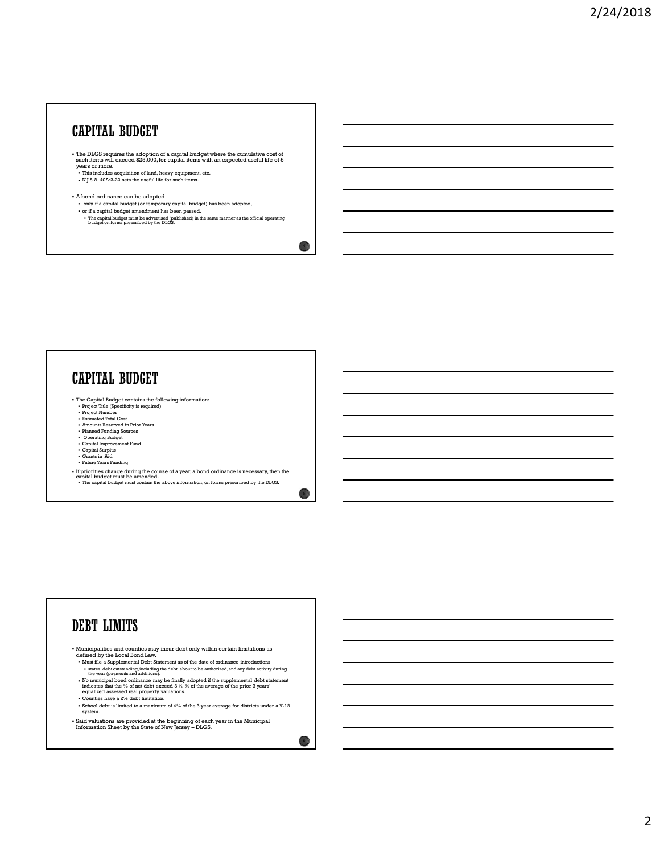### CAPITAL BUDGET

- The DLGS requires the adoption of a capital budget where the cumulative cost of such items will exceed \$25,000, for capital items with an expected useful life of 5 years or more.
- This includes acquisition of land, heavy equipment, etc.<br>• N.J.S.A. 40A:2-22 sets the useful life for such items.
- A bond ordinance can be adopted
- 
- only if a capital budget (or temporary capital budget) has been adopted,<br>• or if a capital budget amendment has been passed.<br>• The capital budget must be advertised (published) in the same manner as the official operatin

# **CAPITAL BUDGET**

- Fire Capital Budget contains the following information:<br>• Project Title (Specificity is required)<br>• Project Number<br>• Estimated Total Cost
- 
- 
- Amounts Reserved in Prior Years
- 
- Planned Funding Sources Operating Budget Capital Improvement Fund Capital Surplus
- Grants in Aid
- Future Years Funding
- 
- If priorities change during the course of a year, a bond ordinance is necessary, then the capital budget must be amended. • The capital budget must contain the above information, on forms prescribed by the DLGS.

 $\sim$  5  $\mu$ 

 $\overline{4}$ 

- Municipalities and counties may incur debt only within certain limitations as
- defined by the Local Bond Law.<br>
 Must file a Supplemental Debt Statement as of the date of ordinance introductions<br>
 states debt outstanding, including the debt about to be authorized, and any debt activity during<br>
the y
- No municipal bond ordinance may be finally adopted if the supplemental debt statement indicates that the % of net debt exceed 3 % % of the average of the prior 3 years' equalized assessed real property valuations. Contraction Sheet by the State of New Yersey – Dealer Contraction Sheet By the State of New York 2018<br>
The State of New York 2018<br>
Contraction Sheet By the State of New York 2018<br>
The State of New York 2019<br>
Contraction S
- Counties have a 2% debt limitation.
- $\bullet$  School debt is limited to a maximum of 4% of the 3 year average for districts under a K-12 system.
- $\bullet$  Said valuations are provided at the beginning of each year in the Municipal Information Sheet by the State of New Jersey DLGS.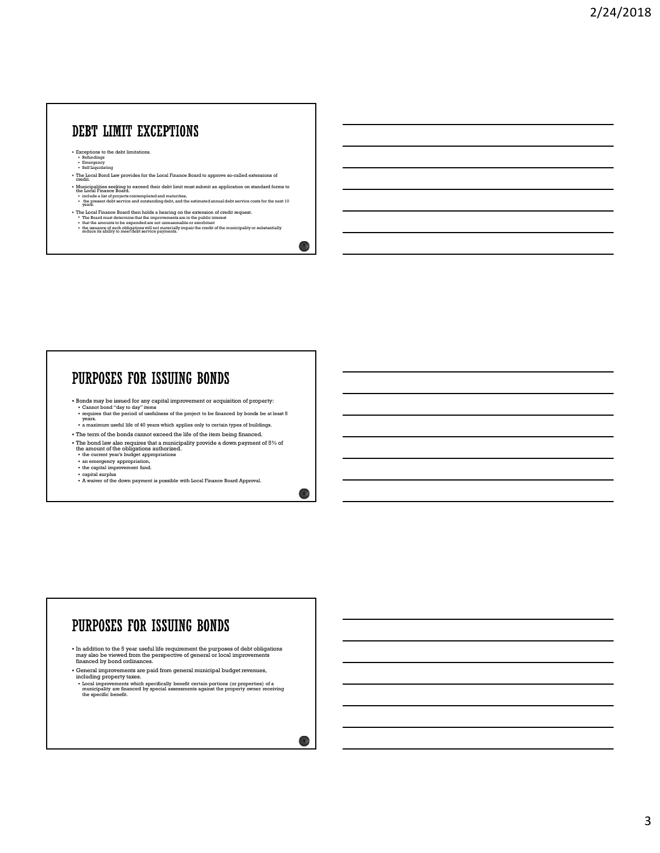### DEBT LIMIT EXCEPTIONS

- Exceptions to the debt limitations.<br>
Formulating<br>
Self Liquidating<br>
Self Liquidating
- 
- The Local Bond Law provides for the Local Finance Board to approve so-called extensions of credit.
- Municipalities seeking to acceed their debt limit must submit an application on standard forms to the local Finance Board.<br>• Include a lim of projects contemplated and maturities,<br>• The present debt service and outstandin
- 
- 
- The Local Finance Board then holds a hearing on the extension of credit request.<br>• The Board must determine that the improvements are in the public interest<br>• that the amounts to be expended are not unreasonable or exor

# PURPOSES FOR ISSUING BONDS

- Bonds may be issued for any capital improvement or acquisition of property:<br>
Cannot bond "day to day" items<br>
requires that the period of usefulness of the project to be financed by bonds be at least 5<br>
years.
- a maximum useful life of 40 years which applies only to certain types of buildings.
- 
- The term of the bonds cannot exceed the life of the item being financed. The bond law also requires that a municipality provide a down payment of 5% of the amount of the obligations authorized. the current year's budget appropriations
- 
- 
- 
- 
- an emergency appropriation,<br>• the capital improvement fund.<br>• capital surplus<br>• A waiver of the down payment is possible with Local Finance Board Approval.

# PURPOSES FOR ISSUING BONDS

- In addition to the 5 year useful life requirement the purposes of debt obligations may also be viewed from the perspective of general or local improvements financed by bond ordinances.
- General improvements are paid from general municipal budget revenues, including property taxes.
- Local improvements which specifically benefit certain portions (or properties) of a municipality are financed by special assessments against the property owner receiving numicipality are financed by special assessments aga

**7 1** 

8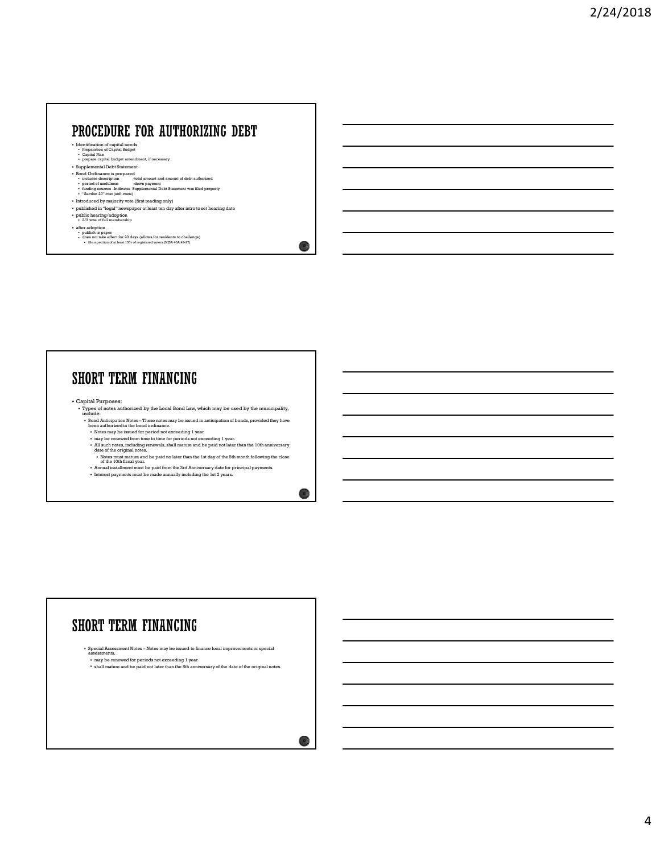# **ROCEDURE FOR AUTHORIZING DEBT**<br> **INCLUSION - TO AND AMORTALISM** - **DEBT**<br> **Constrained and amount and amount of debt authorized and amount of debt authorized and amount of debt authorized aposition -**  $\frac{1}{2}$ **<br>**  $\frac{1}{2}$ **ROCEDURE FOR AUTHORIZING DEBT**<br> **Properiod of usefulness -down payment is a community of usefulness -**<br>  $\frac{1}{2}$   $\frac{1}{2}$   $\frac{1}{2}$   $\frac{1}{2}$   $\frac{1}{2}$   $\frac{1}{2}$   $\frac{1}{2}$   $\frac{1}{2}$   $\frac{1}{2}$   $\frac{1}{2}$   $\frac{1}{2}$   $\frac{1}{$

- Identification of capital needs Preparation of Capital Budget Capital Plan
- 
- prepare capital budget amendment, if necessary<br>• Supplemental Debt Statement<br>• Bond Ordinance is prepared
- 
- "Section 20" cost (soft costs)
- 
- Introduced by majority vote (first reading only)<br>• published in "legal" newspaper at least ten day after intro to set hearing date
- public hearing/adoption 2/3 vote of full membership
- 
- a filer adoption<br>• publish in paper<br>• does not take effect for 20 days (allows for residents to challenge)<br>• file a petition of at least 15% of requiremed woters (NJSA 40A:49-27)

- Capital Purposes: Types of notes authorized by the Local Bond Law, which may be used by the municipality, include:
	-
	-
	-
- Bond Anticipation Notes These notes may be issued in anticipation of bonds, provided they have been authorized in the bond ordinance. Notes may be issued for period not exceeding 1 year may be renewed from time to time for periods not exceeding 1 year. All such notes, including renewals, shall mature and be paid not later than the 10th anniversary date of the original notes. Notes must mature and be paid no later than the 1st day of the 5th month following the close of the 10th fiscal year. Annual installment must be paid from the 3rd Anniversary date for principal payments. Interest payments must be made annually including the 1st 2 years.

 $10<sub>0</sub>$ 

11

- 
- 

# **ORT TERM FINANCING**<br> **EXAMPLE THE REAL PROPERTY AND ACTIVE CONTINUES.**<br> **CONTINUES AND CONTINUES AND ACTIVITY AND ACTIVITY AND ACTIVITY AND ACTIVITY AND ACTIVITY AND ACTIVITY AND ACTIVITY AND ACTIVITY AND ACTIVITY AND ACT**

 $\bigcirc$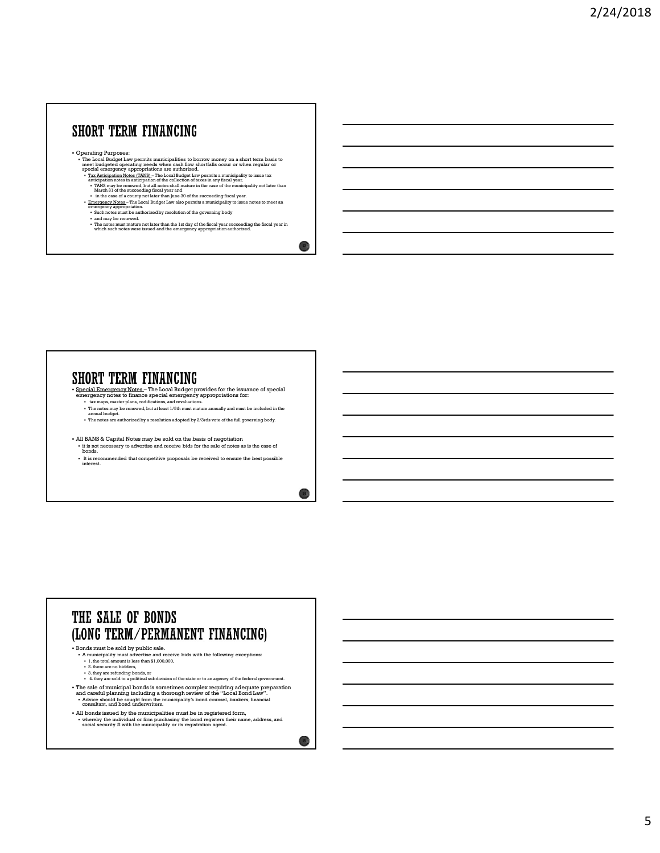Operating Purposes:

- The Local Budget Law permits municipalities to borrow money on a short term basis to meet budgeted operating needs when cash flow shortfalls occur or when regular or special emergency appropriations are authorized.<br>The Ap
	-
	-
- **ORT TERM FINANCING**<br>
exciting Paraposes:<br>  $\frac{1}{2}$  and Baddel Law parameterization to be the second and a discrete model of the second and a discrete the second and a control of the second and a control of the second an anticipation notes in anticipation of the collection of taxes in any fiscal year.<br>• TANS may be renewed, but all notes shall mature in the case of the municipality not later than March 31 of the succeeding fiscal year.<br>• i **ORT TERM FINANCING**<br>
examing Paraposes.<br>
The contribution of the property of the state of the control of the state of the state of the control of the<br>
Distribution of the state of the control of the control of the contro Special Emergency Notes – The Local Budget provides for the issuance of special
	-
	-

 $\bullet$  Special Emergency Notes – The Local Budget provides for the issuance of special emergency notes to finance special emergency appropriations for:

- tax maps, master plans, codifications, and revaluations.
- The notes may be renewed, but at least 1/5th must mature annually and must be included in the annual budget. The notes are authorized by a resolution adopted by 2/3rds vote of the full governing body.
- 
- All BANS & Capital Notes may be sold on the basis of negotiation it is not necessary to advertise and receive bids for the sale of notes as is the case of bonds.
- It is recommended that competitive proposals be received to ensure the best possible interest.

14

 $\bigcirc$ 

# THE SALE OF BONDS (LONG TERM/PERMANENT FINANCING)

- Bonds must be sold by public sale.
	- A municipality must advertise and receive bids with the following exceptions:<br>1. the total amount is less than \$1,000,000,
	-
	- 2. there are no bidders,<br>• 3. they are refunding bonds, or
	- 4. they are sold to a political subdivision of the state or to an agency of the federal government.
- The sale of municipal bonds is sometimes complex requiring adequate preparation<br>and careful planning including a thorough review of the "Local Bond Law".<br>• Advice should be sought from the municipality's bond counsel, ba
- All bonds issued by the municipalities must be in registered form, whereby the individual or firm purchasing the bond registers their name, address, and social security # with the municipality or its registration agent.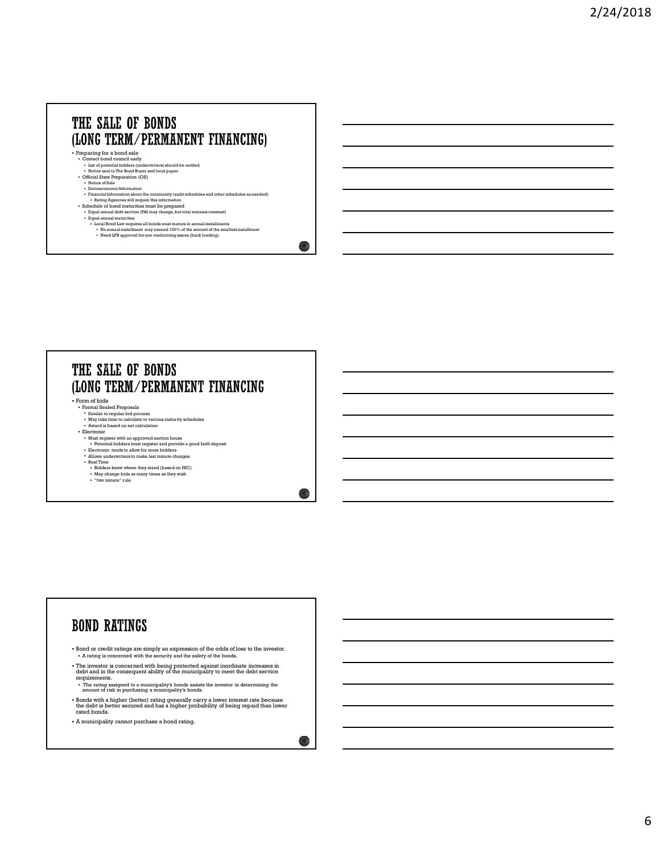### THE SALE OF BONDS (LONG TERM/PERMANENT FINANCING)

- Preparing for a bond sale<br>
 Contact bond council early<br>
 List of potential bidders (underwriters) should be notifed<br>
 Notice sent to The Bond Buyer and local paper<br>
 Official State Preparation (OS)<br>
	-
	-
	-
- Notice of Sale<br>• Socioeconomic Information<br>• Financial Information about the community (audit schedules and other schedules as needed)<br>• Rahing Agencies will require this information<br>• Schedule of bond maturities must be
	-
- 
- **Equal annual debt service (P&I may change, but total remains constant)**<br> **Equal annual maturities**<br>  **Local Bond law requires all bonds must mature in annual installments<br>
 No annual installment may exceed 100% of the** 
	-

 $16<sub>1</sub>$ 

 $17.7$ 

 $\bigcirc$ 

### THE SALE OF BONDS (LONG TERM/PERMANENT FINANCING

Form of bids Formal Sealed Proposals

- 
- Similar to regular bid process May take time to calculate to various maturity schedules
- Award is based on net calculation
- 
- Electronic Must register with an approved auction house
- Potential bidders must register and provide a good faith deposit Electronic tends to allow for more bidders
- Allows underwriters to make last minute changes
- Real Time Bidders know where they stand (based on NIC)
- May change bids as many times as they wish "two minute" rule

# **BOND RATINGS**

Bond or credit ratings are simply an expression of the odds of loss to the investor. A rating is concerned with the security and the safety of the bonds.

- The investor is concerned with being protected against inordinate increases in debt and in the consequent ability of the municipality to meet the debt service
- requirements. The rating assigned to a municipality's bonds assists the investor in determining the amount of risk in purchasing a municipality's bonds.
- Bonds with a higher (better) rating generally carry a lower interest rate because the debt is better secured and has a higher probability of being repaid than lower rated bonds.
- A municipality cannot purchase a bond rating.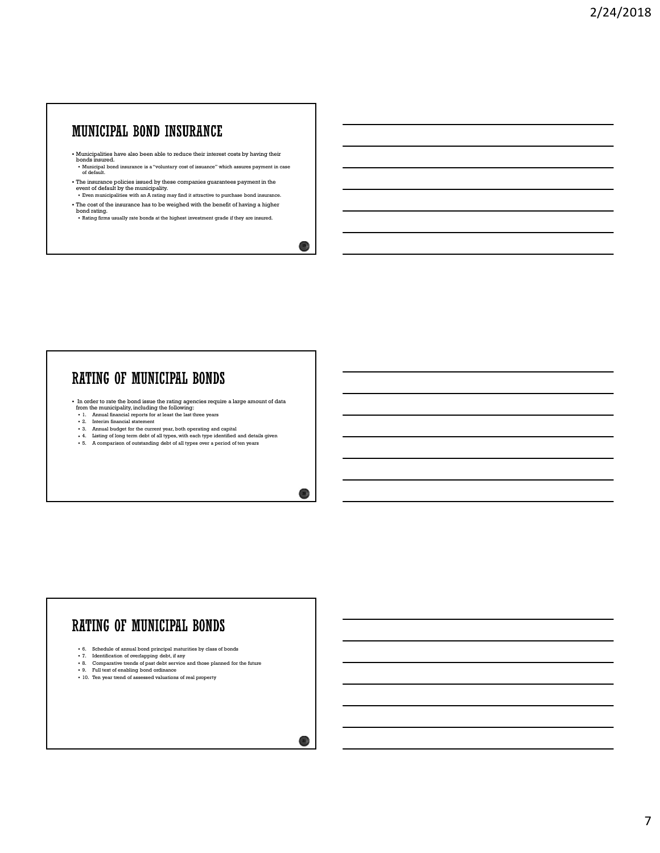- Municipalities have also been able to reduce their interest costs by having their bonds insured. Municipal bond insurance is a "voluntary cost of issuance" which assures payment in case of default. 1. CONTROL THE MUNICIPAL BORNEY (AND THE STRAIGHT CONTROL TO THE CONTROL TO THE CONTROL TO THE CONTROL TO THE CONTROL TO THE CONTROL TO THE CONTROL TO THE CONTROL TO THE CONTROL TO THE CONTROL TO THE CONTROL TO THE CONTRO 2. A The current statement is a statement of the current of the current of the current of the current of the current of  $\alpha$  and  $\alpha$  and  $\alpha$  and  $\alpha$  and  $\alpha$  and  $\alpha$  and  $\alpha$  and  $\alpha$  and  $\alpha$  and  $\alpha$  and  $\alpha$  and  $\$
- The insurance policies issued by these companies guarantees payment in the event of default by the municipality. 5. A compute the distance of all types over a computer space of the same payment in each<br>
Contribute the computer of all types computer sparses over a period of all types of a<br>
The computer of all types over a period of a
- Even municipalities with an A rating may find it attractive to purchase bond insurance. The cost of the insurance has to be weighed with the benefit of having a higher
- bond rating.<br>• Rating firms usually rate bonds at the highest investment grade if they are insured.

- In order to rate the bond issue the rating agencies require a large amount of data from the municipality, including the following:
- 
- 
- 
- 

# **ATING OF MUNICIPAL BONDS**<br>
the code to take the resulting the resulting processes requires a large amount of data<br>  $\frac{1}{2}$ . A mean framework interesting the boson maturities by class of  $\frac{1}{2}$ . A mean framework inte **ATING OF MUNICIPAL BONDS**<br>
In order to the discussion of our control of the following the following the following the state of our control of data<br>
The control of the state of our control of the state of our control of th  $\frac{1}{2}$  is the main formula comparative trends of passive trends of passive trends of passive trends of passive trends of passive trends of passive trends of the future of the future of the future of the future of the f In order to rate the horid (see the rating agencies requires a large amount of data<br>  $\cdot$  2. Easing intermediate regarding the fields were these theorem as  $\cdot$  2. Easy in the main of energy and the same of the energy and In collect to the both changes the asset<br>
comparison the simulation of a state of assets are due when  $\alpha$ <br>  $\alpha$  - A state of a state of assets are arbitraristic state of assets<br>  $\alpha$  - A state of a state of a state of a s

- 
- 
- 
- 

 $19<sup>o</sup>$ 

20  $\mu$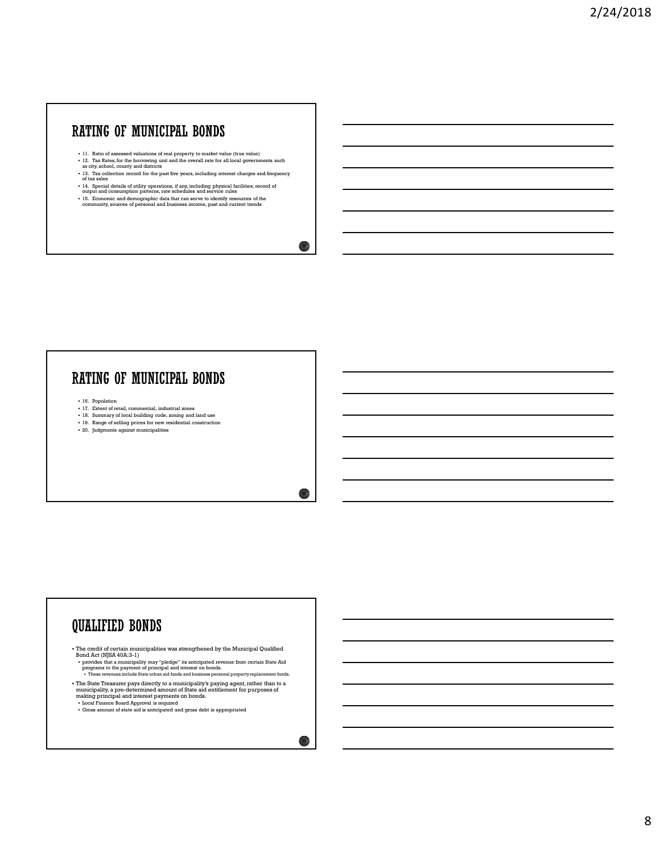- 
- 
- 11. Ratio of assessed valuations of real property to market value (true value)  $12$ . Tax Rates, for the borrowing unit and the overall rate for all local governments such as a city, school, county and districts in and the  $\begin{array}{|c|c|} \hline \textbf{ATING} & \textbf{OF} & \textbf{MUNICIPAL} & \textbf{BOMDS} \\ \hline \end{array}$ 11. Rails of assessed collection record for the past five years, including interest charges and frequency  $\begin{array}{|c|c|} \hline \textbf{1} & \textbf{2} & \textbf{2} & \textbf{2} & \textbf{2} & \textbf{2$  $\textbf{A}\textbf{TIME}$  **OF MUNICIPALI BONDS**<br>
11. Ratio of assessed valuations of usal property to market value (true value)<br>
12. The Kahol, for the boundary pair and the overall matches for all local governments such<br>
13. The c **HTING OF MUNICIPAL. BONDS**<br>  $\cdots$  and  $\cdots$  and demographic distance of the compression of the community resources of the community, sources of the community, sources of personal and business income, past and current tre **EXTING OF MUNICIPAL BONDS**<br>  $\frac{1}{16}$ ,  $\frac{3}{16}$ ,  $\frac{3}{16}$ ,  $\frac{3}{16}$ ,  $\frac{3}{16}$ ,  $\frac{3}{16}$ ,  $\frac{3}{16}$ ,  $\frac{3}{16}$ ,  $\frac{3}{16}$ ,  $\frac{3}{16}$ ,  $\frac{3}{16}$ ,  $\frac{3}{16}$ ,  $\frac{3}{16}$ ,  $\frac{3}{16}$ ,  $\frac{3}{16}$ ,  $\frac{3}{16}$ , ATING OF MUNICIPAL BONDS<br>  $\frac{1}{2}$ ,  $\frac{1}{2}$ ,  $\frac{1}{2}$ ,  $\frac{1}{2}$ ,  $\frac{1}{2}$ ,  $\frac{1}{2}$ ,  $\frac{1}{2}$ ,  $\frac{1}{2}$ ,  $\frac{1}{2}$ ,  $\frac{1}{2}$ ,  $\frac{1}{2}$ ,  $\frac{1}{2}$ ,  $\frac{1}{2}$ ,  $\frac{1}{2}$ ,  $\frac{1}{2}$ ,  $\frac{1}{2}$ ,  $\frac{1}{2}$ ,  $\frac{1}{2}$ 18. In the set of local building code, zoning and user of local building code, zoning and in the set of local building control building control building control building control building control building control building 19. Range of selling prices with the constraint of real property to make to relate the parameters and<br>
19. Range of selling prices for new residents are constructed in the selling prices of selling<br>
19. The construction c 21. It is more of the mass and viabration of each property to each wide viabra (the six the property of the six the six the six the six the six the six the six the six the six the six the six the six the six the six the s
- 
- 

- 
- 
- 

# **QUALIFIED BONDS**

The credit of certain municipalities was strengthened by the Municipal Qualified

Bond Act (NJSA 40A:3-1)<br>• provides that a municipality may "pledge" its anticipated revenue from certain State Aid<br>• programs to the payment of principal and interest on bonds.<br>• These revenues include State urban aid fund

• The State Treasurer pays directly to a municipality's paying agent, rather than to a municipality, a pre-determined amount of State aid entitlement for purposes of making principal and interest payments on bonds.<br>• Local

Gross amount of state aid is anticipated and gross debt is appropriated

 $\bigcirc$ 

 $22 \frac{1}{2}$ 

 $23 \downarrow$